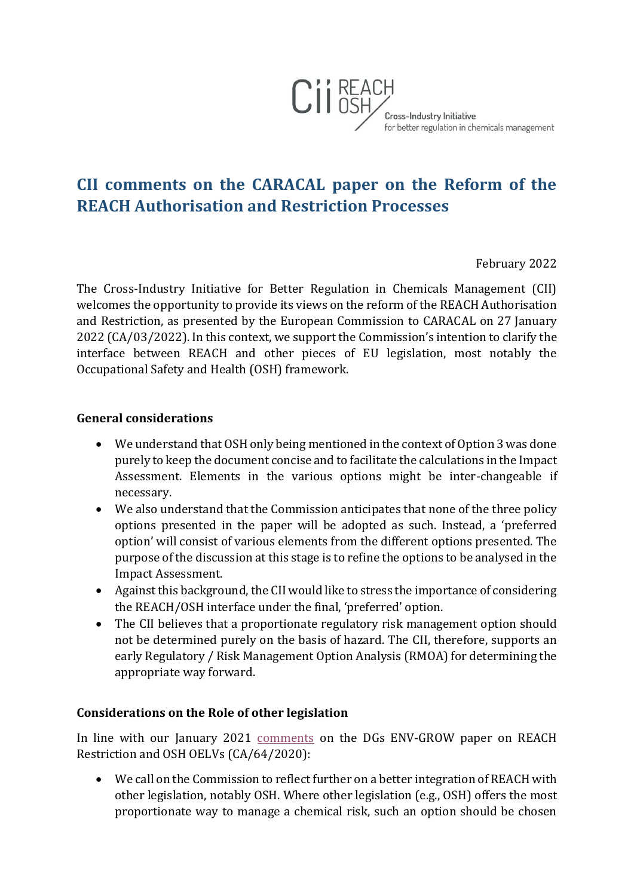

## **CII comments on the CARACAL paper on the Reform of the REACH Authorisation and Restriction Processes**

February 2022

The Cross-Industry Initiative for Better Regulation in Chemicals Management (CII) welcomes the opportunity to provide its views on the reform of the REACH Authorisation and Restriction, as presented by the European Commission to CARACAL on 27 January 2022 (CA/03/2022). In this context, we support the Commission's intention to clarify the interface between REACH and other pieces of EU legislation, most notably the Occupational Safety and Health (OSH) framework.

## **General considerations**

- We understand that OSH only being mentioned in the context of Option 3 was done purely to keep the document concise and to facilitate the calculations in the Impact Assessment. Elements in the various options might be inter-changeable if necessary.
- We also understand that the Commission anticipates that none of the three policy options presented in the paper will be adopted as such. Instead, a 'preferred option' will consist of various elements from the different options presented. The purpose of the discussion at this stage is to refine the options to be analysed in the Impact Assessment.
- Against this background, the CII would like to stress the importance of considering the REACH/OSH interface under the final, 'preferred' option.
- The CII believes that a proportionate regulatory risk management option should not be determined purely on the basis of hazard. The CII, therefore, supports an early Regulatory / Risk Management Option Analysis (RMOA) for determining the appropriate way forward.

## **Considerations on the Role of other legislation**

In line with our January 2021 [comments](https://www.cii-reach-osh.eu/positions.html) on the DGs ENV-GROW paper on REACH Restriction and OSH OELVs (CA/64/2020):

• We call on the Commission to reflect further on a better integration of REACH with other legislation, notably OSH. Where other legislation (e.g., OSH) offers the most proportionate way to manage a chemical risk, such an option should be chosen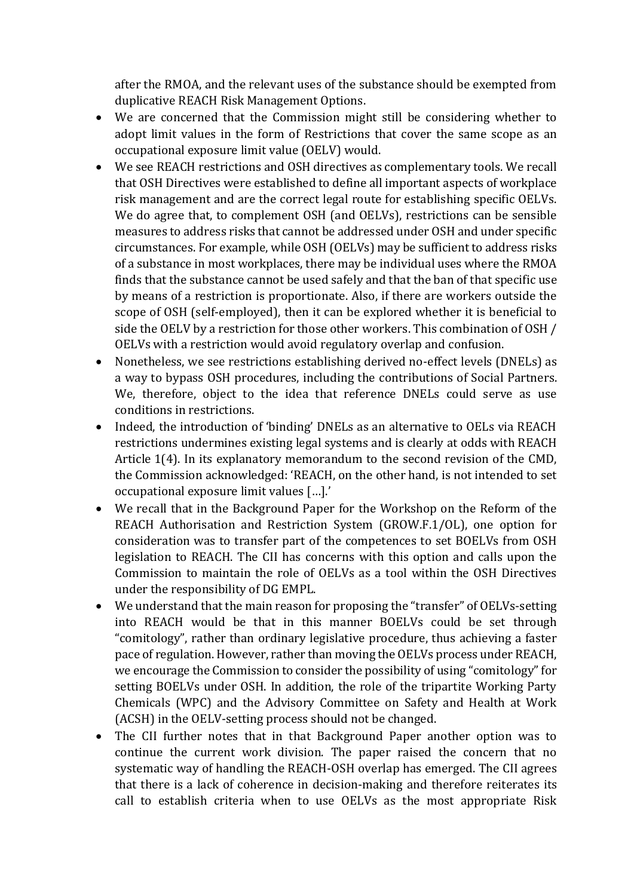after the RMOA, and the relevant uses of the substance should be exempted from duplicative REACH Risk Management Options.

- We are concerned that the Commission might still be considering whether to adopt limit values in the form of Restrictions that cover the same scope as an occupational exposure limit value (OELV) would.
- We see REACH restrictions and OSH directives as complementary tools. We recall that OSH Directives were established to define all important aspects of workplace risk management and are the correct legal route for establishing specific OELVs. We do agree that, to complement OSH (and OELVs), restrictions can be sensible measures to address risks that cannot be addressed under OSH and under specific circumstances. For example, while OSH (OELVs) may be sufficient to address risks of a substance in most workplaces, there may be individual uses where the RMOA finds that the substance cannot be used safely and that the ban of that specific use by means of a restriction is proportionate. Also, if there are workers outside the scope of OSH (self-employed), then it can be explored whether it is beneficial to side the OELV by a restriction for those other workers. This combination of OSH / OELVs with a restriction would avoid regulatory overlap and confusion.
- Nonetheless, we see restrictions establishing derived no-effect levels (DNELs) as a way to bypass OSH procedures, including the contributions of Social Partners. We, therefore, object to the idea that reference DNELs could serve as use conditions in restrictions.
- Indeed, the introduction of 'binding' DNELs as an alternative to OELs via REACH restrictions undermines existing legal systems and is clearly at odds with REACH Article 1(4). In its explanatory memorandum to the second revision of the CMD, the Commission acknowledged: 'REACH, on the other hand, is not intended to set occupational exposure limit values […].'
- We recall that in the Background Paper for the Workshop on the Reform of the REACH Authorisation and Restriction System (GROW.F.1/OL), one option for consideration was to transfer part of the competences to set BOELVs from OSH legislation to REACH. The CII has concerns with this option and calls upon the Commission to maintain the role of OELVs as a tool within the OSH Directives under the responsibility of DG EMPL.
- We understand that the main reason for proposing the "transfer" of OELVs-setting into REACH would be that in this manner BOELVs could be set through "comitology", rather than ordinary legislative procedure, thus achieving a faster pace of regulation. However, rather than moving the OELVs process under REACH, we encourage the Commission to consider the possibility of using "comitology" for setting BOELVs under OSH. In addition, the role of the tripartite Working Party Chemicals (WPC) and the Advisory Committee on Safety and Health at Work (ACSH) in the OELV-setting process should not be changed.
- The CII further notes that in that Background Paper another option was to continue the current work division. The paper raised the concern that no systematic way of handling the REACH-OSH overlap has emerged. The CII agrees that there is a lack of coherence in decision-making and therefore reiterates its call to establish criteria when to use OELVs as the most appropriate Risk